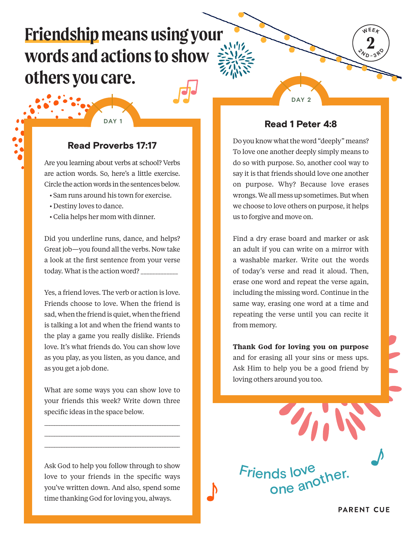# **Friendship means using your words and actions to show others you care.**

## Read Proverbs 17:17

**DAY 1**

Are you learning about verbs at school? Verbs are action words. So, here's a little exercise. Circle the action words in the sentences below.

- Sam runs around his town for exercise.
- Destiny loves to dance.
- Celia helps her mom with dinner.

Did you underline runs, dance, and helps? Great job—you found all the verbs. Now take a look at the first sentence from your verse today. What is the action word? \_\_\_\_\_\_\_\_\_\_\_\_\_

Yes, a friend loves. The verb or action is love. Friends choose to love. When the friend is sad, when the friend is quiet, when the friend is talking a lot and when the friend wants to the play a game you really dislike. Friends love. It's what friends do. You can show love as you play, as you listen, as you dance, and as you get a job done.

What are some ways you can show love to your friends this week? Write down three specific ideas in the space below.

\_\_\_\_\_\_\_\_\_\_\_\_\_\_\_\_\_\_\_\_\_\_\_\_\_\_\_\_\_\_\_\_\_\_\_\_\_\_\_\_\_\_\_\_\_\_\_\_\_\_\_\_\_\_\_ \_\_\_\_\_\_\_\_\_\_\_\_\_\_\_\_\_\_\_\_\_\_\_\_\_\_\_\_\_\_\_\_\_\_\_\_\_\_\_\_\_\_\_\_\_\_\_\_\_\_\_\_\_\_\_ \_\_\_\_\_\_\_\_\_\_\_\_\_\_\_\_\_\_\_\_\_\_\_\_\_\_\_\_\_\_\_\_\_\_\_\_\_\_\_\_\_\_\_\_\_\_\_\_\_\_\_\_\_\_\_

Ask God to help you follow through to show love to your friends in the specific ways you've written down. And also, spend some time thanking God for loving you, always.

Read 1 Peter 4:8

**DAY 2**

**2 WEEK**

 $\sqrt[2]{v_D}$ **<sup>3</sup> <sup>R</sup> <sup>D</sup>**

Do you know what the word "deeply" means? To love one another deeply simply means to do so with purpose. So, another cool way to say it is that friends should love one another on purpose. Why? Because love erases wrongs. We all mess up sometimes. But when we choose to love others on purpose, it helps us to forgive and move on.

Find a dry erase board and marker or ask an adult if you can write on a mirror with a washable marker. Write out the words of today's verse and read it aloud. Then, erase one word and repeat the verse again, including the missing word. Continue in the same way, erasing one word at a time and repeating the verse until you can recite it from memory.

**Thank God for loving you on purpose** and for erasing all your sins or mess ups. Ask Him to help you be a good friend by loving others around you too.

ds love<sub>ther.</sub><br>one a<sup>nother.</sup>

Friends love

**PARENT CUE**